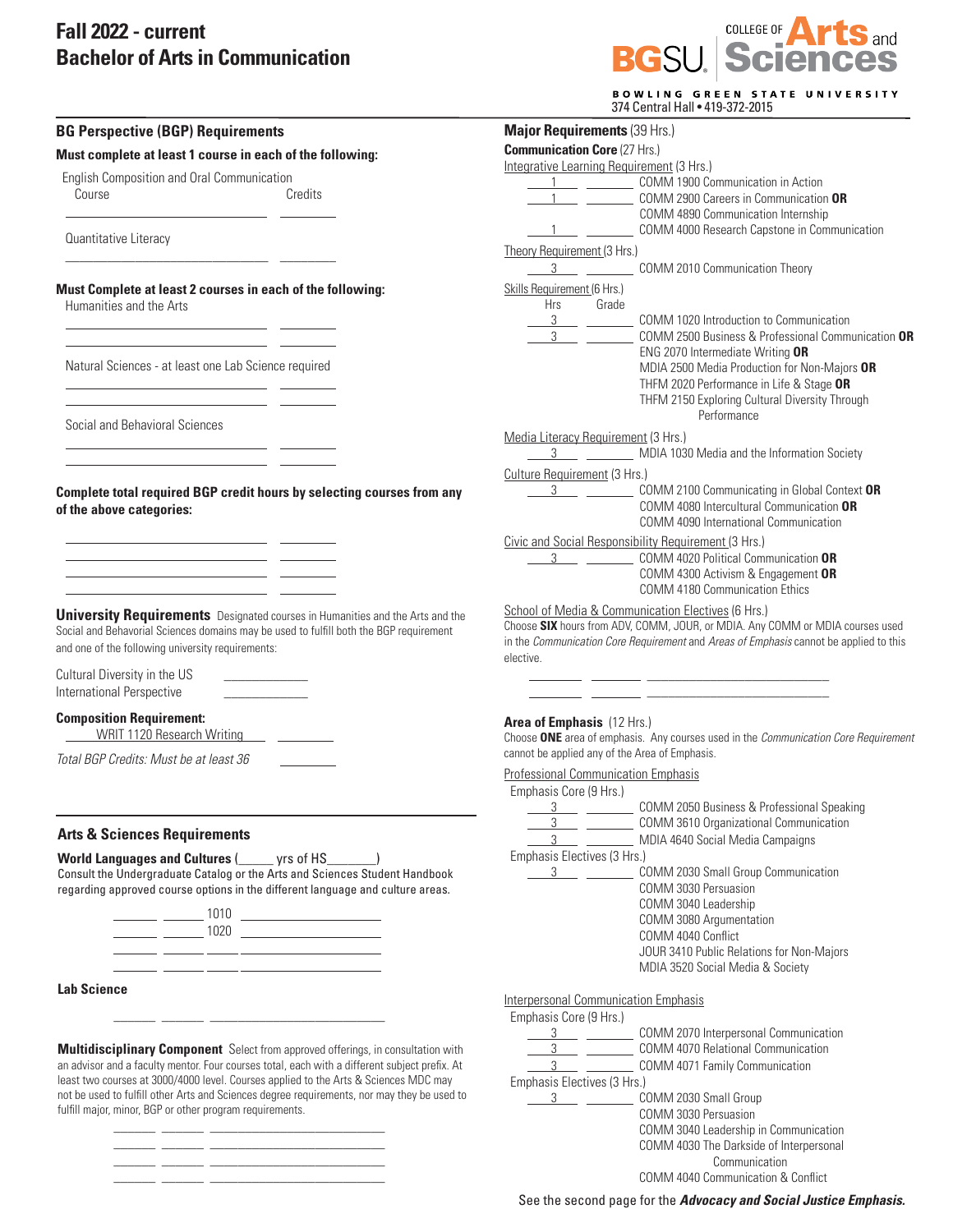## **Fall 2022 - current Bachelor of Arts in Communication**

 $\overline{\phantom{a}}$  , and the set of the set of the set of the set of the set of the set of the set of the set of the set of the set of the set of the set of the set of the set of the set of the set of the set of the set of the s

\_\_\_\_\_\_ \_\_\_\_\_\_ \_\_\_\_\_\_\_\_\_\_\_\_\_\_\_\_\_\_\_\_\_\_\_\_\_



|                                                                                                                                                                                                                                                                                                  | <b>Major Requirements (39 Hrs.)</b>                                                                            |
|--------------------------------------------------------------------------------------------------------------------------------------------------------------------------------------------------------------------------------------------------------------------------------------------------|----------------------------------------------------------------------------------------------------------------|
| <b>BG Perspective (BGP) Requirements</b>                                                                                                                                                                                                                                                         | <b>Communication Core (27 Hrs.)</b>                                                                            |
| Must complete at least 1 course in each of the following:                                                                                                                                                                                                                                        | Integrative Learning Requirement (3 Hrs.)                                                                      |
| English Composition and Oral Communication                                                                                                                                                                                                                                                       | 1 COMM 1900 Communication in Action                                                                            |
| Credits<br>Course                                                                                                                                                                                                                                                                                | COMM 2900 Careers in Communication OR                                                                          |
|                                                                                                                                                                                                                                                                                                  | COMM 4890 Communication Internship                                                                             |
| Quantitative Literacy                                                                                                                                                                                                                                                                            | COMM 4000 Research Capstone in Communication                                                                   |
|                                                                                                                                                                                                                                                                                                  | Theory Requirement (3 Hrs.)                                                                                    |
|                                                                                                                                                                                                                                                                                                  | <b>COMM 2010 Communication Theory</b>                                                                          |
| Must Complete at least 2 courses in each of the following:                                                                                                                                                                                                                                       | Skills Requirement (6 Hrs.)                                                                                    |
| Humanities and the Arts                                                                                                                                                                                                                                                                          | Hrs<br>Grade                                                                                                   |
|                                                                                                                                                                                                                                                                                                  | 3 COMM 1020 Introduction to Communication<br>$3^{\circ}$<br>COMM 2500 Business & Professional Communication OR |
| <u> 1989 - John Harrison, fransk politik (d. 1989)</u>                                                                                                                                                                                                                                           | ENG 2070 Intermediate Writing OR                                                                               |
| Natural Sciences - at least one Lab Science required                                                                                                                                                                                                                                             | MDIA 2500 Media Production for Non-Majors OR                                                                   |
|                                                                                                                                                                                                                                                                                                  | THFM 2020 Performance in Life & Stage OR                                                                       |
|                                                                                                                                                                                                                                                                                                  | THFM 2150 Exploring Cultural Diversity Through                                                                 |
| Social and Behavioral Sciences                                                                                                                                                                                                                                                                   | Performance                                                                                                    |
|                                                                                                                                                                                                                                                                                                  | Media Literacy Requirement (3 Hrs.)                                                                            |
|                                                                                                                                                                                                                                                                                                  | 3 MDIA 1030 Media and the Information Society                                                                  |
|                                                                                                                                                                                                                                                                                                  | Culture Requirement (3 Hrs.)                                                                                   |
| Complete total required BGP credit hours by selecting courses from any                                                                                                                                                                                                                           | $3 \thinspace - \thinspace$<br>COMM 2100 Communicating in Global Context OR                                    |
| of the above categories:                                                                                                                                                                                                                                                                         | COMM 4080 Intercultural Communication OR                                                                       |
|                                                                                                                                                                                                                                                                                                  | COMM 4090 International Communication                                                                          |
| <u> 1989 - Johann Marie Barn, mars et al. (</u><br><u> 1989 - John Stein, mars and de Brandenberg (b. 19</u>                                                                                                                                                                                     | Civic and Social Responsibility Requirement (3 Hrs.)<br>COMM 4020 Political Communication OR<br>3              |
|                                                                                                                                                                                                                                                                                                  | COMM 4300 Activism & Engagement OR                                                                             |
|                                                                                                                                                                                                                                                                                                  | <b>COMM 4180 Communication Ethics</b>                                                                          |
|                                                                                                                                                                                                                                                                                                  | School of Media & Communication Electives (6 Hrs.)                                                             |
| <b>University Requirements</b> Designated courses in Humanities and the Arts and the<br>Social and Behavorial Sciences domains may be used to fulfill both the BGP requirement                                                                                                                   | Choose SIX hours from ADV, COMM, JOUR, or MDIA. Any COMM or MDIA courses used                                  |
| and one of the following university requirements:                                                                                                                                                                                                                                                | in the Communication Core Requirement and Areas of Emphasis cannot be applied to this                          |
|                                                                                                                                                                                                                                                                                                  | elective.                                                                                                      |
| Cultural Diversity in the US                                                                                                                                                                                                                                                                     | the company of the company                                                                                     |
| International Perspective                                                                                                                                                                                                                                                                        |                                                                                                                |
| <b>Composition Requirement:</b>                                                                                                                                                                                                                                                                  | <b>Area of Emphasis</b> (12 Hrs.)                                                                              |
| WRIT 1120 Research Writing ______________                                                                                                                                                                                                                                                        | Choose ONE area of emphasis. Any courses used in the Communication Core Requirement                            |
| Total BGP Credits: Must be at least 36                                                                                                                                                                                                                                                           | cannot be applied any of the Area of Emphasis.                                                                 |
|                                                                                                                                                                                                                                                                                                  | <b>Professional Communication Emphasis</b>                                                                     |
|                                                                                                                                                                                                                                                                                                  | Emphasis Core (9 Hrs.)                                                                                         |
|                                                                                                                                                                                                                                                                                                  | COMM 2050 Business & Professional Speaking<br>3                                                                |
| <b>Arts &amp; Sciences Requirements</b>                                                                                                                                                                                                                                                          | 3<br>COMM 3610 Organizational Communication                                                                    |
|                                                                                                                                                                                                                                                                                                  | $3 \underline{\hspace{1cm}}$<br>MDIA 4640 Social Media Campaigns                                               |
| <b>World Languages and Cultures (Widell</b> yrs of HS                                                                                                                                                                                                                                            | Emphasis Electives (3 Hrs.)<br>COMM 2030 Small Group Communication                                             |
| Consult the Undergraduate Catalog or the Arts and Sciences Student Handbook<br>regarding approved course options in the different language and culture areas.                                                                                                                                    | COMM 3030 Persuasion                                                                                           |
|                                                                                                                                                                                                                                                                                                  | COMM 3040 Leadership                                                                                           |
|                                                                                                                                                                                                                                                                                                  | COMM 3080 Argumentation                                                                                        |
| $\frac{1020}{2}$ $\frac{1020}{2}$ $\frac{1020}{2}$ $\frac{1020}{2}$ $\frac{1020}{2}$ $\frac{1020}{2}$ $\frac{1020}{2}$ $\frac{1020}{2}$ $\frac{1020}{2}$ $\frac{1020}{2}$ $\frac{1020}{2}$ $\frac{1020}{2}$ $\frac{1020}{2}$ $\frac{1020}{2}$ $\frac{1020}{2}$ $\frac{1020}{2}$ $\frac{1020}{2}$ | COMM 4040 Conflict                                                                                             |
| <u> 1988 - Andrea Andrew Maria (h. 1989).</u><br>1900 - Andrew Maria (h. 1900).                                                                                                                                                                                                                  | JOUR 3410 Public Relations for Non-Majors                                                                      |
|                                                                                                                                                                                                                                                                                                  | MDIA 3520 Social Media & Society                                                                               |
| <b>Lab Science</b>                                                                                                                                                                                                                                                                               | <b>Interpersonal Communication Emphasis</b>                                                                    |
|                                                                                                                                                                                                                                                                                                  | Emphasis Core (9 Hrs.)                                                                                         |
|                                                                                                                                                                                                                                                                                                  | COMM 2070 Interpersonal Communication                                                                          |
| Multidisciplinary Component Select from approved offerings, in consultation with                                                                                                                                                                                                                 | <b>COMM 4070 Relational Communication</b>                                                                      |
| an advisor and a faculty mentor. Four courses total, each with a different subject prefix. At                                                                                                                                                                                                    | $3 \qquad \qquad$<br>COMM 4071 Family Communication                                                            |
| least two courses at 3000/4000 level. Courses applied to the Arts & Sciences MDC may                                                                                                                                                                                                             | Emphasis Electives (3 Hrs.)                                                                                    |
| not be used to fulfill other Arts and Sciences degree requirements, nor may they be used to                                                                                                                                                                                                      | COMM 2030 Small Group<br>3                                                                                     |
| fulfill major, minor, BGP or other program requirements.                                                                                                                                                                                                                                         | COMM 3030 Persuasion                                                                                           |
|                                                                                                                                                                                                                                                                                                  | COMM 3040 Leadership in Communication                                                                          |
|                                                                                                                                                                                                                                                                                                  | COMM 4030 The Darkside of Interpersonal                                                                        |

See the second page for the *Advocacy and Social Justice Emphasis.*

 Communication COMM 4040 Communication & Conflict